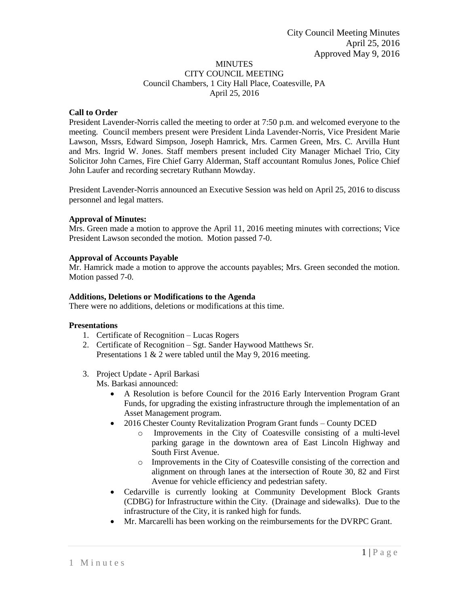## MINUTES CITY COUNCIL MEETING Council Chambers, 1 City Hall Place, Coatesville, PA April 25, 2016

# **Call to Order**

President Lavender-Norris called the meeting to order at 7:50 p.m. and welcomed everyone to the meeting. Council members present were President Linda Lavender-Norris, Vice President Marie Lawson, Mssrs, Edward Simpson, Joseph Hamrick, Mrs. Carmen Green, Mrs. C. Arvilla Hunt and Mrs. Ingrid W. Jones. Staff members present included City Manager Michael Trio, City Solicitor John Carnes, Fire Chief Garry Alderman, Staff accountant Romulus Jones, Police Chief John Laufer and recording secretary Ruthann Mowday.

President Lavender-Norris announced an Executive Session was held on April 25, 2016 to discuss personnel and legal matters.

## **Approval of Minutes:**

Mrs. Green made a motion to approve the April 11, 2016 meeting minutes with corrections; Vice President Lawson seconded the motion. Motion passed 7-0.

## **Approval of Accounts Payable**

Mr. Hamrick made a motion to approve the accounts payables; Mrs. Green seconded the motion. Motion passed 7-0.

## **Additions, Deletions or Modifications to the Agenda**

There were no additions, deletions or modifications at this time.

## **Presentations**

- 1. Certificate of Recognition Lucas Rogers
- 2. Certificate of Recognition Sgt. Sander Haywood Matthews Sr. Presentations 1 & 2 were tabled until the May 9, 2016 meeting.
- 3. Project Update April Barkasi

Ms. Barkasi announced:

- A Resolution is before Council for the 2016 Early Intervention Program Grant Funds, for upgrading the existing infrastructure through the implementation of an Asset Management program.
- 2016 Chester County Revitalization Program Grant funds County DCED
	- o Improvements in the City of Coatesville consisting of a multi-level parking garage in the downtown area of East Lincoln Highway and South First Avenue.
	- o Improvements in the City of Coatesville consisting of the correction and alignment on through lanes at the intersection of Route 30, 82 and First Avenue for vehicle efficiency and pedestrian safety.
- Cedarville is currently looking at Community Development Block Grants (CDBG) for Infrastructure within the City. (Drainage and sidewalks). Due to the infrastructure of the City, it is ranked high for funds.
- Mr. Marcarelli has been working on the reimbursements for the DVRPC Grant.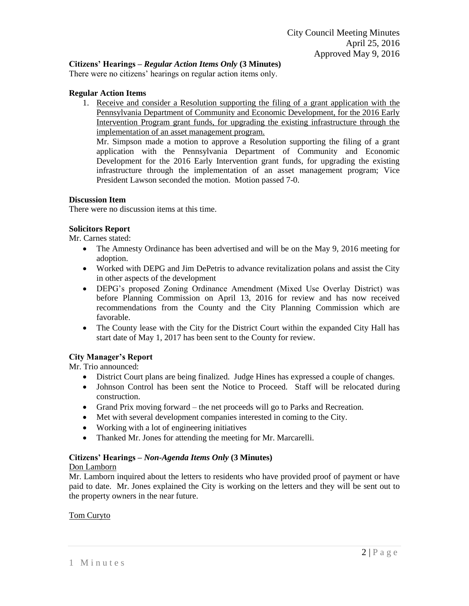# **Citizens' Hearings –** *Regular Action Items Only* **(3 Minutes)**

There were no citizens' hearings on regular action items only.

### **Regular Action Items**

1. Receive and consider a Resolution supporting the filing of a grant application with the Pennsylvania Department of Community and Economic Development, for the 2016 Early Intervention Program grant funds, for upgrading the existing infrastructure through the implementation of an asset management program.

Mr. Simpson made a motion to approve a Resolution supporting the filing of a grant application with the Pennsylvania Department of Community and Economic Development for the 2016 Early Intervention grant funds, for upgrading the existing infrastructure through the implementation of an asset management program; Vice President Lawson seconded the motion. Motion passed 7-0.

### **Discussion Item**

There were no discussion items at this time.

## **Solicitors Report**

Mr. Carnes stated:

- The Amnesty Ordinance has been advertised and will be on the May 9, 2016 meeting for adoption.
- Worked with DEPG and Jim DePetris to advance revitalization polans and assist the City in other aspects of the development
- DEPG's proposed Zoning Ordinance Amendment (Mixed Use Overlay District) was before Planning Commission on April 13, 2016 for review and has now received recommendations from the County and the City Planning Commission which are favorable.
- The County lease with the City for the District Court within the expanded City Hall has start date of May 1, 2017 has been sent to the County for review.

## **City Manager's Report**

Mr. Trio announced:

- District Court plans are being finalized. Judge Hines has expressed a couple of changes.
- Johnson Control has been sent the Notice to Proceed. Staff will be relocated during construction.
- Grand Prix moving forward the net proceeds will go to Parks and Recreation.
- Met with several development companies interested in coming to the City.
- Working with a lot of engineering initiatives
- Thanked Mr. Jones for attending the meeting for Mr. Marcarelli.

#### **Citizens' Hearings –** *Non-Agenda Items Only* **(3 Minutes)**

#### Don Lamborn

Mr. Lamborn inquired about the letters to residents who have provided proof of payment or have paid to date. Mr. Jones explained the City is working on the letters and they will be sent out to the property owners in the near future.

## Tom Curyto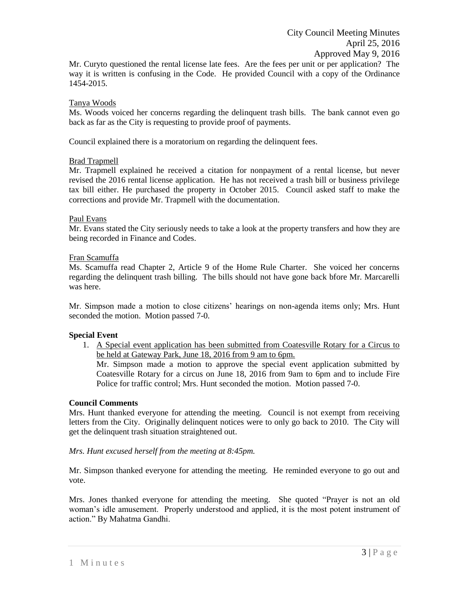Mr. Curyto questioned the rental license late fees. Are the fees per unit or per application? The way it is written is confusing in the Code. He provided Council with a copy of the Ordinance 1454-2015.

### Tanya Woods

Ms. Woods voiced her concerns regarding the delinquent trash bills. The bank cannot even go back as far as the City is requesting to provide proof of payments.

Council explained there is a moratorium on regarding the delinquent fees.

### Brad Trapmell

Mr. Trapmell explained he received a citation for nonpayment of a rental license, but never revised the 2016 rental license application. He has not received a trash bill or business privilege tax bill either. He purchased the property in October 2015. Council asked staff to make the corrections and provide Mr. Trapmell with the documentation.

### Paul Evans

Mr. Evans stated the City seriously needs to take a look at the property transfers and how they are being recorded in Finance and Codes.

### Fran Scamuffa

Ms. Scamuffa read Chapter 2, Article 9 of the Home Rule Charter. She voiced her concerns regarding the delinquent trash billing. The bills should not have gone back bfore Mr. Marcarelli was here.

Mr. Simpson made a motion to close citizens' hearings on non-agenda items only; Mrs. Hunt seconded the motion. Motion passed 7-0.

#### **Special Event**

1. A Special event application has been submitted from Coatesville Rotary for a Circus to be held at Gateway Park, June 18, 2016 from 9 am to 6pm.

Mr. Simpson made a motion to approve the special event application submitted by Coatesville Rotary for a circus on June 18, 2016 from 9am to 6pm and to include Fire Police for traffic control; Mrs. Hunt seconded the motion. Motion passed 7-0.

#### **Council Comments**

Mrs. Hunt thanked everyone for attending the meeting. Council is not exempt from receiving letters from the City. Originally delinquent notices were to only go back to 2010. The City will get the delinquent trash situation straightened out.

### *Mrs. Hunt excused herself from the meeting at 8:45pm.*

Mr. Simpson thanked everyone for attending the meeting. He reminded everyone to go out and vote.

Mrs. Jones thanked everyone for attending the meeting. She quoted "Prayer is not an old woman's idle amusement. Properly understood and applied, it is the most potent instrument of action." By Mahatma Gandhi.